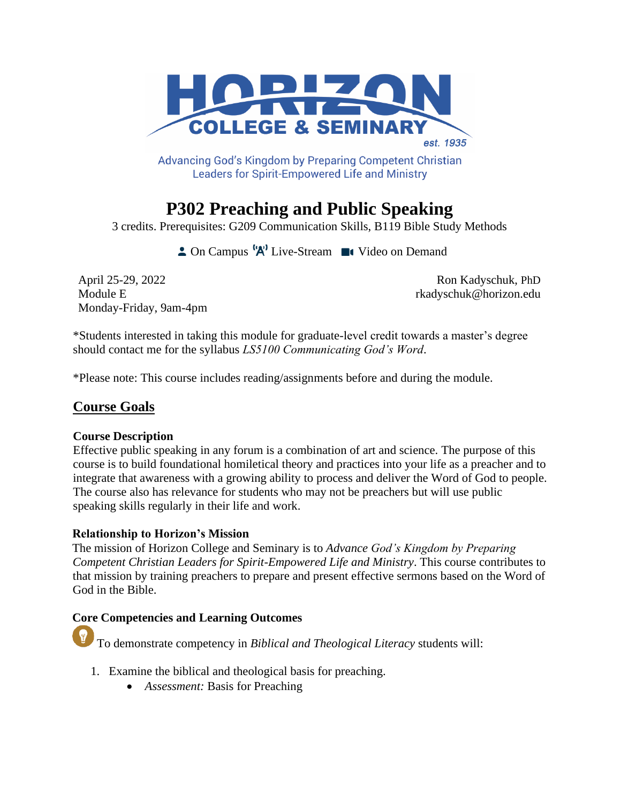

Advancing God's Kingdom by Preparing Competent Christian **Leaders for Spirit-Empowered Life and Ministry** 

# **P302 Preaching and Public Speaking**

3 credits. Prerequisites: G209 Communication Skills, B119 Bible Study Methods

**2** On Campus  $\mathbf{A}^{\prime\prime}$  Live-Stream **I** Video on Demand

April 25-29, 2022 Ron Kadyschuk, PhD Monday-Friday, 9am-4pm

Module E results and the set of the set of the set of the set of the set of the set of the set of the set of the set of the set of the set of the set of the set of the set of the set of the set of the set of the set of the

\*Students interested in taking this module for graduate-level credit towards a master's degree should contact me for the syllabus *LS5100 Communicating God's Word*.

\*Please note: This course includes reading/assignments before and during the module.

# **Course Goals**

#### **Course Description**

Effective public speaking in any forum is a combination of art and science. The purpose of this course is to build foundational homiletical theory and practices into your life as a preacher and to integrate that awareness with a growing ability to process and deliver the Word of God to people. The course also has relevance for students who may not be preachers but will use public speaking skills regularly in their life and work.

#### **Relationship to Horizon's Mission**

The mission of Horizon College and Seminary is to *Advance God's Kingdom by Preparing Competent Christian Leaders for Spirit-Empowered Life and Ministry*. This course contributes to that mission by training preachers to prepare and present effective sermons based on the Word of God in the Bible.

# **Core Competencies and Learning Outcomes**

To demonstrate competency in *Biblical and Theological Literacy* students will:

- 1. Examine the biblical and theological basis for preaching.
	- *Assessment:* Basis for Preaching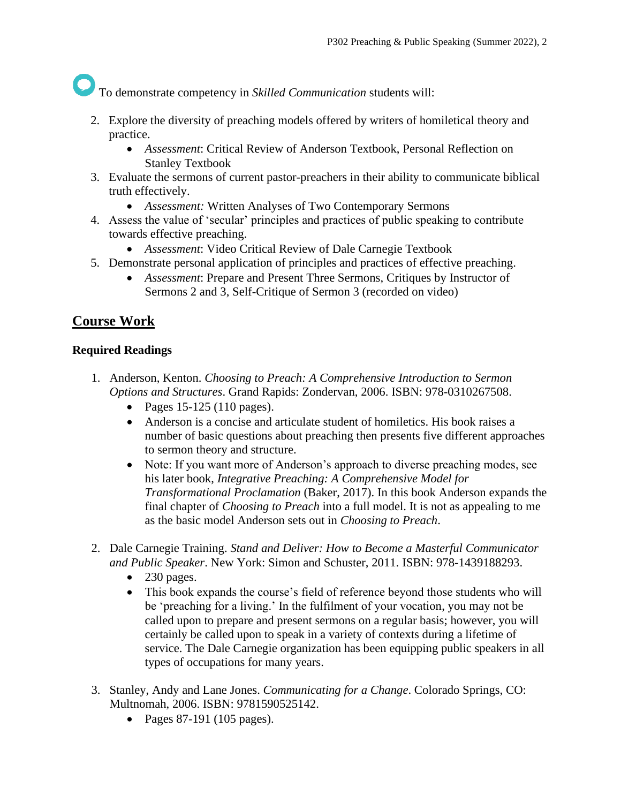To demonstrate competency in *Skilled Communication* students will:

- 2. Explore the diversity of preaching models offered by writers of homiletical theory and practice.
	- *Assessment*: Critical Review of Anderson Textbook, Personal Reflection on Stanley Textbook
- 3. Evaluate the sermons of current pastor-preachers in their ability to communicate biblical truth effectively.
	- *Assessment:* Written Analyses of Two Contemporary Sermons
- 4. Assess the value of 'secular' principles and practices of public speaking to contribute towards effective preaching.
	- *Assessment*: Video Critical Review of Dale Carnegie Textbook
- 5. Demonstrate personal application of principles and practices of effective preaching.
	- *Assessment*: Prepare and Present Three Sermons, Critiques by Instructor of Sermons 2 and 3, Self-Critique of Sermon 3 (recorded on video)

# **Course Work**

## **Required Readings**

- 1. Anderson, Kenton. *Choosing to Preach: A Comprehensive Introduction to Sermon Options and Structures*. Grand Rapids: Zondervan, 2006. ISBN: 978-0310267508.
	- Pages 15-125 (110 pages).
	- Anderson is a concise and articulate student of homiletics. His book raises a number of basic questions about preaching then presents five different approaches to sermon theory and structure.
	- Note: If you want more of Anderson's approach to diverse preaching modes, see his later book, *Integrative Preaching: A Comprehensive Model for Transformational Proclamation* (Baker, 2017). In this book Anderson expands the final chapter of *Choosing to Preach* into a full model. It is not as appealing to me as the basic model Anderson sets out in *Choosing to Preach*.
- 2. Dale Carnegie Training. *Stand and Deliver: How to Become a Masterful Communicator and Public Speaker*. New York: Simon and Schuster, 2011. ISBN: 978-1439188293.
	- $\bullet$  230 pages.
	- This book expands the course's field of reference beyond those students who will be 'preaching for a living.' In the fulfilment of your vocation, you may not be called upon to prepare and present sermons on a regular basis; however, you will certainly be called upon to speak in a variety of contexts during a lifetime of service. The Dale Carnegie organization has been equipping public speakers in all types of occupations for many years.
- 3. Stanley, Andy and Lane Jones. *Communicating for a Change*. Colorado Springs, CO: Multnomah, 2006. ISBN: 9781590525142.
	- Pages 87-191 (105 pages).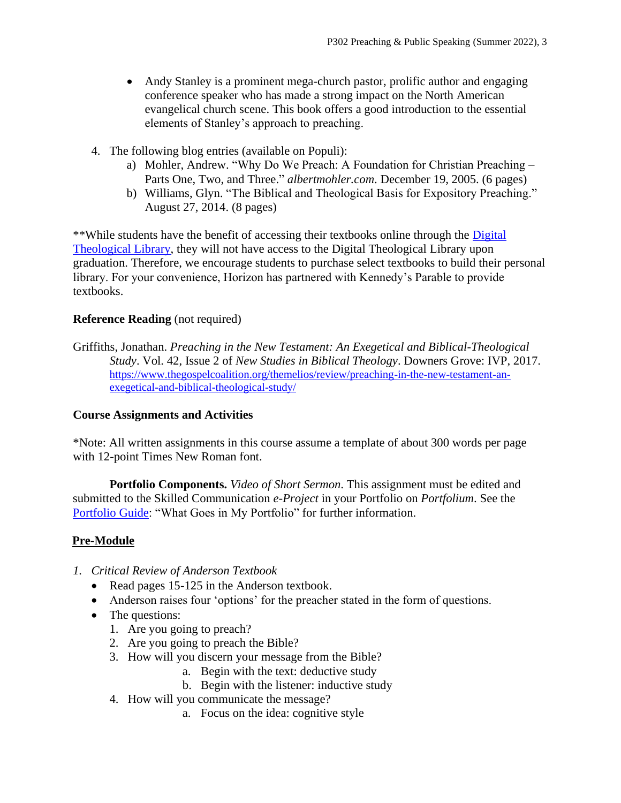- Andy Stanley is a prominent mega-church pastor, prolific author and engaging conference speaker who has made a strong impact on the North American evangelical church scene. This book offers a good introduction to the essential elements of Stanley's approach to preaching.
- 4. The following blog entries (available on Populi):
	- a) Mohler, Andrew. "Why Do We Preach: A Foundation for Christian Preaching Parts One, Two, and Three." *albertmohler.com*. December 19, 2005. (6 pages)
	- b) Williams, Glyn. "The Biblical and Theological Basis for Expository Preaching." August 27, 2014. (8 pages)

\*\*While students have the benefit of accessing their textbooks online through the [Digital](https://libguides.thedtl.org/home)  [Theological Library,](https://libguides.thedtl.org/home) they will not have access to the Digital Theological Library upon graduation. Therefore, we encourage students to purchase select textbooks to build their personal library. For your convenience, Horizon has partnered with Kennedy's Parable to provide textbooks.

## **Reference Reading** (not required)

Griffiths, Jonathan. *Preaching in the New Testament: An Exegetical and Biblical-Theological Study*. Vol. 42, Issue 2 of *New Studies in Biblical Theology*. Downers Grove: IVP, 2017. [https://www.thegospelcoalition.org/themelios/review/preaching-in-the-new-testament-an](https://www.thegospelcoalition.org/themelios/review/preaching-in-the-new-testament-an-exegetical-and-biblical-theological-study/)[exegetical-and-biblical-theological-study/](https://www.thegospelcoalition.org/themelios/review/preaching-in-the-new-testament-an-exegetical-and-biblical-theological-study/)

#### **Course Assignments and Activities**

\*Note: All written assignments in this course assume a template of about 300 words per page with 12-point Times New Roman font.

**Portfolio Components.** *Video of Short Sermon*. This assignment must be edited and submitted to the Skilled Communication *e-Project* in your Portfolio on *Portfolium*. See the [Portfolio Guide:](https://www.horizon.edu/wp-content/uploads/2019/09/Portfolio-Guide-September-2019.pdf) "What Goes in My Portfolio" for further information.

# **Pre-Module**

- *1. Critical Review of Anderson Textbook*
	- Read pages 15-125 in the Anderson textbook.
	- Anderson raises four 'options' for the preacher stated in the form of questions.
	- The questions:
		- 1. Are you going to preach?
		- 2. Are you going to preach the Bible?
		- 3. How will you discern your message from the Bible?
			- a. Begin with the text: deductive study
			- b. Begin with the listener: inductive study
		- 4. How will you communicate the message?
			- a. Focus on the idea: cognitive style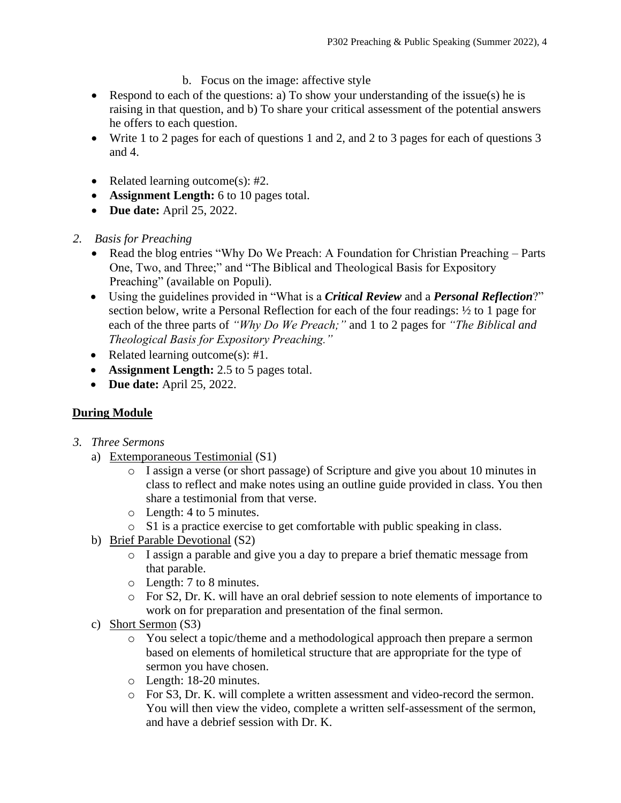- b. Focus on the image: affective style
- Respond to each of the questions: a) To show your understanding of the issue(s) he is raising in that question, and b) To share your critical assessment of the potential answers he offers to each question.
- Write 1 to 2 pages for each of questions 1 and 2, and 2 to 3 pages for each of questions 3 and 4.
- Related learning outcome(s): #2.
- **Assignment Length:** 6 to 10 pages total.
- **Due date:** April 25, 2022.
- *2. Basis for Preaching*
	- Read the blog entries "Why Do We Preach: A Foundation for Christian Preaching Parts One, Two, and Three;" and "The Biblical and Theological Basis for Expository Preaching" (available on Populi).
	- Using the guidelines provided in "What is a *Critical Review* and a *Personal Reflection*?" section below, write a Personal Reflection for each of the four readings: ½ to 1 page for each of the three parts of *"Why Do We Preach;"* and 1 to 2 pages for *"The Biblical and Theological Basis for Expository Preaching."*
	- Related learning outcome(s): #1.
	- **Assignment Length:** 2.5 to 5 pages total.
	- **Due date:** April 25, 2022.

# **During Module**

- *3. Three Sermons*
	- a) Extemporaneous Testimonial (S1)
		- o I assign a verse (or short passage) of Scripture and give you about 10 minutes in class to reflect and make notes using an outline guide provided in class. You then share a testimonial from that verse.
		- o Length: 4 to 5 minutes.
		- o S1 is a practice exercise to get comfortable with public speaking in class.
	- b) Brief Parable Devotional (S2)
		- o I assign a parable and give you a day to prepare a brief thematic message from that parable.
		- o Length: 7 to 8 minutes.
		- o For S2, Dr. K. will have an oral debrief session to note elements of importance to work on for preparation and presentation of the final sermon.
	- c) Short Sermon (S3)
		- o You select a topic/theme and a methodological approach then prepare a sermon based on elements of homiletical structure that are appropriate for the type of sermon you have chosen.
		- o Length: 18-20 minutes.
		- o For S3, Dr. K. will complete a written assessment and video-record the sermon. You will then view the video, complete a written self-assessment of the sermon, and have a debrief session with Dr. K.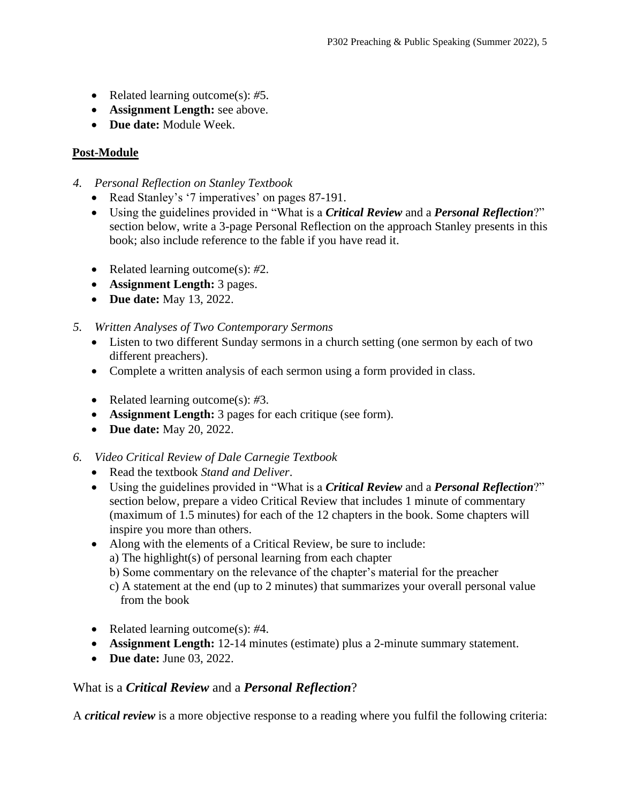- Related learning outcome(s): *#*5.
- **Assignment Length:** see above.
- **Due date:** Module Week.

# **Post-Module**

- *4. Personal Reflection on Stanley Textbook*
	- Read Stanley's '7 imperatives' on pages 87-191.
	- Using the guidelines provided in "What is a *Critical Review* and a *Personal Reflection*?" section below, write a 3-page Personal Reflection on the approach Stanley presents in this book; also include reference to the fable if you have read it.
	- Related learning outcome(s): *#*2.
	- **Assignment Length:** 3 pages.
	- **Due date:** May 13, 2022.
- *5. Written Analyses of Two Contemporary Sermons*
	- Listen to two different Sunday sermons in a church setting (one sermon by each of two different preachers).
	- Complete a written analysis of each sermon using a form provided in class.
	- Related learning outcome(s): *#*3.
	- **Assignment Length:** 3 pages for each critique (see form).
	- **Due date:** May 20, 2022.
- *6. Video Critical Review of Dale Carnegie Textbook*
	- Read the textbook *Stand and Deliver*.
	- Using the guidelines provided in "What is a *Critical Review* and a *Personal Reflection*?" section below, prepare a video Critical Review that includes 1 minute of commentary (maximum of 1.5 minutes) for each of the 12 chapters in the book. Some chapters will inspire you more than others.
	- Along with the elements of a Critical Review, be sure to include:
		- a) The highlight(s) of personal learning from each chapter
		- b) Some commentary on the relevance of the chapter's material for the preacher
		- c) A statement at the end (up to 2 minutes) that summarizes your overall personal value from the book
	- Related learning outcome(s): *#*4.
	- **Assignment Length:** 12-14 minutes (estimate) plus a 2-minute summary statement.
	- **Due date:** June 03, 2022.

# What is a *Critical Review* and a *Personal Reflection*?

A *critical review* is a more objective response to a reading where you fulfil the following criteria: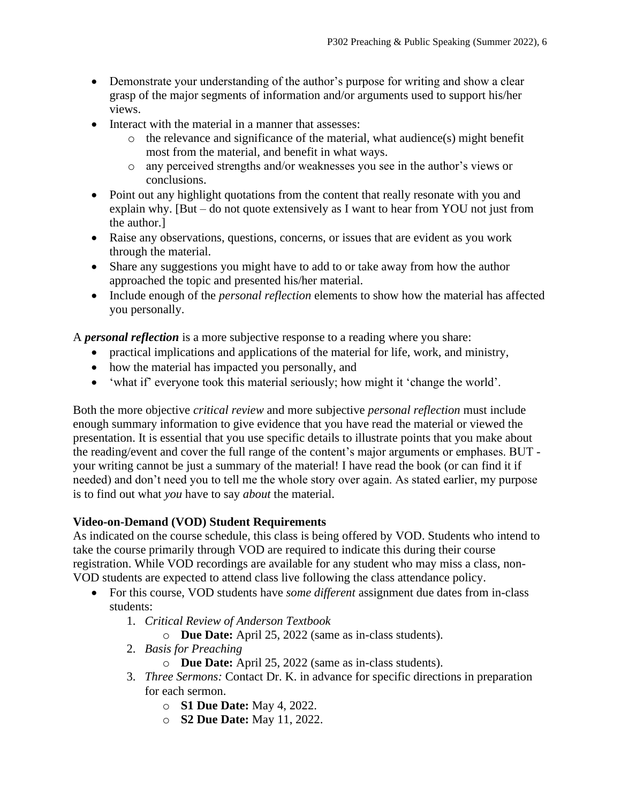- Demonstrate your understanding of the author's purpose for writing and show a clear grasp of the major segments of information and/or arguments used to support his/her views.
- Interact with the material in a manner that assesses:
	- $\circ$  the relevance and significance of the material, what audience(s) might benefit most from the material, and benefit in what ways.
	- o any perceived strengths and/or weaknesses you see in the author's views or conclusions.
- Point out any highlight quotations from the content that really resonate with you and explain why. [But – do not quote extensively as I want to hear from YOU not just from the author.]
- Raise any observations, questions, concerns, or issues that are evident as you work through the material.
- Share any suggestions you might have to add to or take away from how the author approached the topic and presented his/her material.
- Include enough of the *personal reflection* elements to show how the material has affected you personally.

A *personal reflection* is a more subjective response to a reading where you share:

- practical implications and applications of the material for life, work, and ministry,
- how the material has impacted you personally, and
- 'what if' everyone took this material seriously; how might it 'change the world'.

Both the more objective *critical review* and more subjective *personal reflection* must include enough summary information to give evidence that you have read the material or viewed the presentation. It is essential that you use specific details to illustrate points that you make about the reading/event and cover the full range of the content's major arguments or emphases. BUT your writing cannot be just a summary of the material! I have read the book (or can find it if needed) and don't need you to tell me the whole story over again. As stated earlier, my purpose is to find out what *you* have to say *about* the material.

#### **Video-on-Demand (VOD) Student Requirements**

As indicated on the course schedule, this class is being offered by VOD. Students who intend to take the course primarily through VOD are required to indicate this during their course registration. While VOD recordings are available for any student who may miss a class, non-VOD students are expected to attend class live following the class attendance policy.

- For this course, VOD students have *some different* assignment due dates from in-class students:
	- 1. *Critical Review of Anderson Textbook*
		- o **Due Date:** April 25, 2022 (same as in-class students).
	- 2. *Basis for Preaching*
		- o **Due Date:** April 25, 2022 (same as in-class students).
	- 3. *Three Sermons:* Contact Dr. K. in advance for specific directions in preparation for each sermon.
		- o **S1 Due Date:** May 4, 2022.
		- o **S2 Due Date:** May 11, 2022.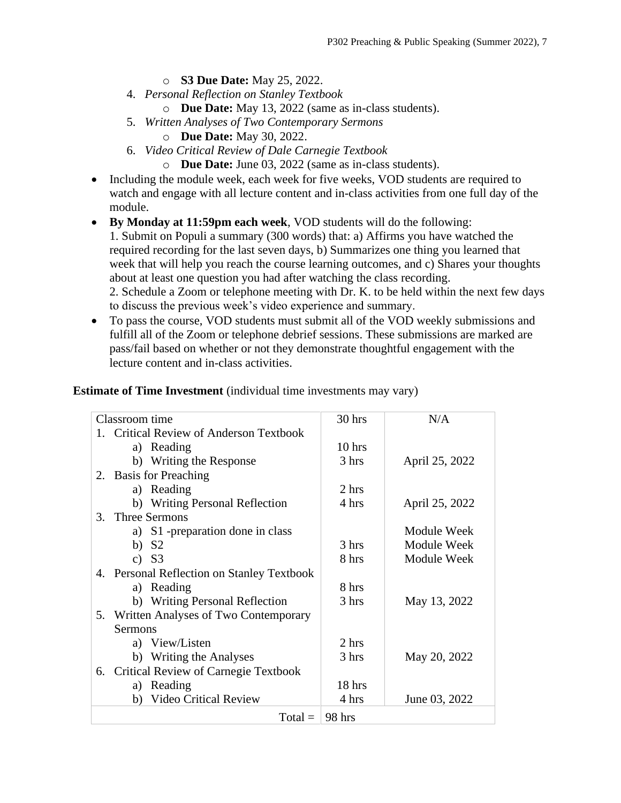- o **S3 Due Date:** May 25, 2022.
- 4. *Personal Reflection on Stanley Textbook*
	- o **Due Date:** May 13, 2022 (same as in-class students).
- 5. *Written Analyses of Two Contemporary Sermons*
	- o **Due Date:** May 30, 2022.
- 6. *Video Critical Review of Dale Carnegie Textbook*
	- o **Due Date:** June 03, 2022 (same as in-class students).
- Including the module week, each week for five weeks, VOD students are required to watch and engage with all lecture content and in-class activities from one full day of the module.
- **By Monday at 11:59pm each week**, VOD students will do the following:

1. Submit on Populi a summary (300 words) that: a) Affirms you have watched the required recording for the last seven days, b) Summarizes one thing you learned that week that will help you reach the course learning outcomes, and c) Shares your thoughts about at least one question you had after watching the class recording. 2. Schedule a Zoom or telephone meeting with Dr. K. to be held within the next few days

to discuss the previous week's video experience and summary.

• To pass the course, VOD students must submit all of the VOD weekly submissions and fulfill all of the Zoom or telephone debrief sessions. These submissions are marked are pass/fail based on whether or not they demonstrate thoughtful engagement with the lecture content and in-class activities.

| Classroom time                             | $30$ hrs | N/A            |
|--------------------------------------------|----------|----------------|
| 1. Critical Review of Anderson Textbook    |          |                |
| a) Reading                                 | $10$ hrs |                |
| b) Writing the Response                    | 3 hrs    | April 25, 2022 |
| <b>Basis for Preaching</b><br>2.           |          |                |
| a) Reading                                 | 2 hrs    |                |
| b) Writing Personal Reflection             | 4 hrs    | April 25, 2022 |
| <b>Three Sermons</b><br>3 <sup>1</sup>     |          |                |
| a) S1 -preparation done in class           |          | Module Week    |
| b) $S2$                                    | 3 hrs    | Module Week    |
| c) $S3$                                    | 8 hrs    | Module Week    |
| 4. Personal Reflection on Stanley Textbook |          |                |
| a) Reading                                 | 8 hrs    |                |
| b) Writing Personal Reflection             | 3 hrs    | May 13, 2022   |
| 5. Written Analyses of Two Contemporary    |          |                |
| Sermons                                    |          |                |
| a) View/Listen                             | 2 hrs    |                |
| b) Writing the Analyses                    | 3 hrs    | May 20, 2022   |
| 6. Critical Review of Carnegie Textbook    |          |                |
| a) Reading                                 | 18 hrs   |                |
| b) Video Critical Review                   | 4 hrs    | June 03, 2022  |
| $Total =$                                  | 98 hrs   |                |
|                                            |          |                |

#### **Estimate of Time Investment** (individual time investments may vary)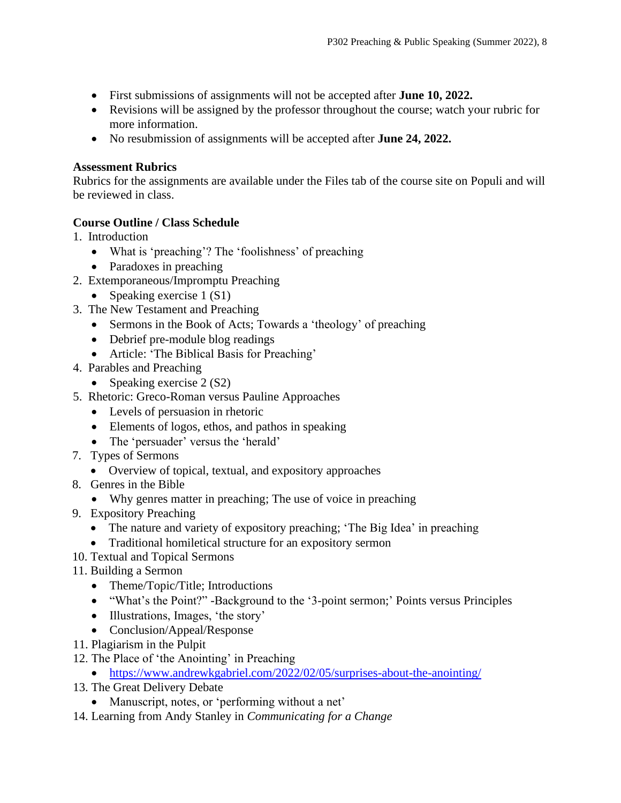- First submissions of assignments will not be accepted after **June 10, 2022.**
- Revisions will be assigned by the professor throughout the course; watch your rubric for more information.
- No resubmission of assignments will be accepted after **June 24, 2022.**

#### **Assessment Rubrics**

Rubrics for the assignments are available under the Files tab of the course site on Populi and will be reviewed in class.

# **Course Outline / Class Schedule**

- 1. Introduction
	- What is 'preaching'? The 'foolishness' of preaching
	- Paradoxes in preaching
- 2. Extemporaneous/Impromptu Preaching
	- Speaking exercise 1 (S1)
- 3. The New Testament and Preaching
	- Sermons in the Book of Acts; Towards a 'theology' of preaching
	- Debrief pre-module blog readings
	- Article: 'The Biblical Basis for Preaching'
- 4. Parables and Preaching
	- Speaking exercise 2 (S2)
- 5. Rhetoric: Greco-Roman versus Pauline Approaches
	- Levels of persuasion in rhetoric
	- Elements of logos, ethos, and pathos in speaking
	- The 'persuader' versus the 'herald'
- 7. Types of Sermons
	- Overview of topical, textual, and expository approaches
- 8. Genres in the Bible
	- Why genres matter in preaching; The use of voice in preaching
- 9. Expository Preaching
	- The nature and variety of expository preaching; 'The Big Idea' in preaching
	- Traditional homiletical structure for an expository sermon
- 10. Textual and Topical Sermons
- 11. Building a Sermon
	- Theme/Topic/Title; Introductions
	- "What's the Point?" -Background to the '3-point sermon;' Points versus Principles
	- Illustrations, Images, 'the story'
	- Conclusion/Appeal/Response
- 11. Plagiarism in the Pulpit
- 12. The Place of 'the Anointing' in Preaching
	- <https://www.andrewkgabriel.com/2022/02/05/surprises-about-the-anointing/>
- 13. The Great Delivery Debate
	- Manuscript, notes, or 'performing without a net'
- 14. Learning from Andy Stanley in *Communicating for a Change*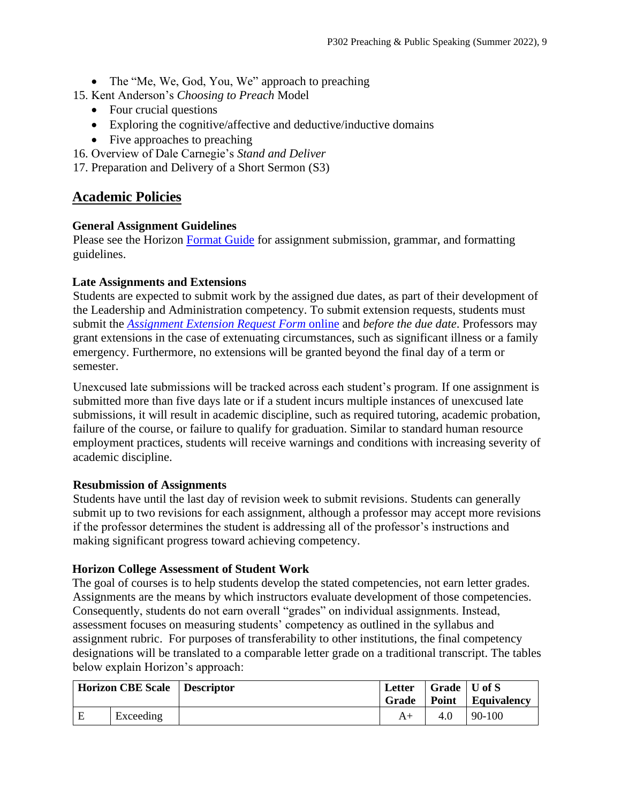• The "Me, We, God, You, We" approach to preaching

15. Kent Anderson's *Choosing to Preach* Model

- Four crucial questions
- Exploring the cognitive/affective and deductive/inductive domains
- Five approaches to preaching
- 16. Overview of Dale Carnegie's *Stand and Deliver*

17. Preparation and Delivery of a Short Sermon (S3)

# **Academic Policies**

#### **General Assignment Guidelines**

Please see the Horizon [Format Guide](https://www.horizon.edu/students/resources/) for assignment submission, grammar, and formatting guidelines.

#### **Late Assignments and Extensions**

Students are expected to submit work by the assigned due dates, as part of their development of the Leadership and Administration competency. To submit extension requests, students must submit the *[Assignment Extension Request Form](https://horizon.edu/forms/student/)* online and *before the due date*. Professors may grant extensions in the case of extenuating circumstances, such as significant illness or a family emergency. Furthermore, no extensions will be granted beyond the final day of a term or semester.

Unexcused late submissions will be tracked across each student's program. If one assignment is submitted more than five days late or if a student incurs multiple instances of unexcused late submissions, it will result in academic discipline, such as required tutoring, academic probation, failure of the course, or failure to qualify for graduation. Similar to standard human resource employment practices, students will receive warnings and conditions with increasing severity of academic discipline.

#### **Resubmission of Assignments**

Students have until the last day of revision week to submit revisions. Students can generally submit up to two revisions for each assignment, although a professor may accept more revisions if the professor determines the student is addressing all of the professor's instructions and making significant progress toward achieving competency.

#### **Horizon College Assessment of Student Work**

The goal of courses is to help students develop the stated competencies, not earn letter grades. Assignments are the means by which instructors evaluate development of those competencies. Consequently, students do not earn overall "grades" on individual assignments. Instead, assessment focuses on measuring students' competency as outlined in the syllabus and assignment rubric. For purposes of transferability to other institutions, the final competency designations will be translated to a comparable letter grade on a traditional transcript. The tables below explain Horizon's approach:

| <b>Horizon CBE Scale</b> |           | Descriptor | Letter<br><b>Grade</b> | $\vert$ Grade $\vert$ U of S | $\vert$ Point $\vert$ Equivalency |
|--------------------------|-----------|------------|------------------------|------------------------------|-----------------------------------|
| E                        | Exceeding |            |                        | 4.0                          | 90-100                            |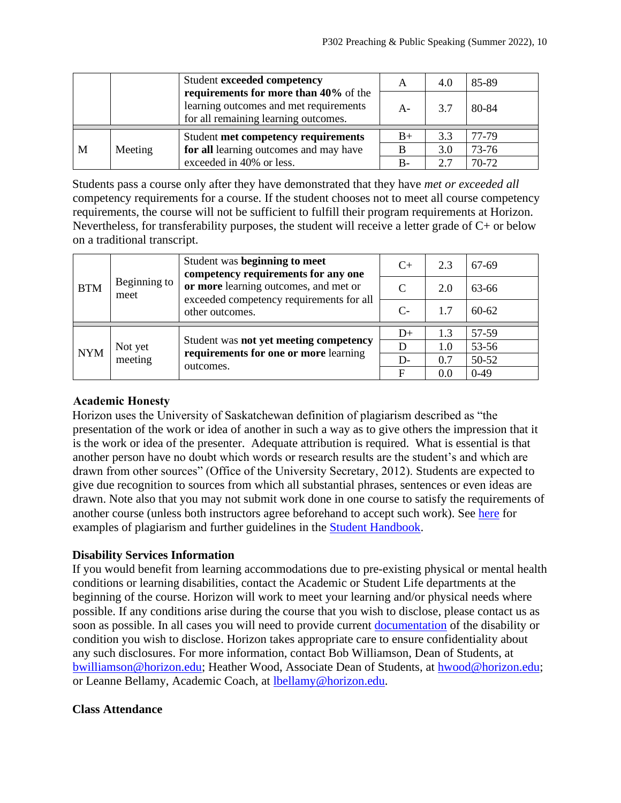|   |         | Student exceeded competency                                                                                             | A     | 4.0 | 85-89 |
|---|---------|-------------------------------------------------------------------------------------------------------------------------|-------|-----|-------|
|   |         | requirements for more than 40% of the<br>learning outcomes and met requirements<br>for all remaining learning outcomes. | $A -$ | 3.7 | 80-84 |
|   |         | Student met competency requirements                                                                                     | $B+$  | 3.3 | 77-79 |
| M | Meeting | for all learning outcomes and may have                                                                                  | B     | 3.0 | 73-76 |
|   |         | exceeded in 40% or less.                                                                                                | B-    | 2.7 | 70-72 |

Students pass a course only after they have demonstrated that they have *met or exceeded all*  competency requirements for a course. If the student chooses not to meet all course competency requirements, the course will not be sufficient to fulfill their program requirements at Horizon. Nevertheless, for transferability purposes, the student will receive a letter grade of C+ or below on a traditional transcript.

| <b>BTM</b> | Beginning to<br>meet | Student was beginning to meet<br>competency requirements for any one<br>or more learning outcomes, and met or<br>exceeded competency requirements for all<br>other outcomes. | $C+$        | 2.3 | 67-69     |
|------------|----------------------|------------------------------------------------------------------------------------------------------------------------------------------------------------------------------|-------------|-----|-----------|
|            |                      |                                                                                                                                                                              |             | 2.0 | 63-66     |
|            |                      |                                                                                                                                                                              | $C$ -       | 1.7 | $60 - 62$ |
| <b>NYM</b> | Not yet<br>meeting   | Student was not yet meeting competency<br>requirements for one or more learning<br>outcomes.                                                                                 |             |     | 57-59     |
|            |                      |                                                                                                                                                                              | $D+$        | 1.3 |           |
|            |                      |                                                                                                                                                                              |             | 1.0 | 53-56     |
|            |                      |                                                                                                                                                                              | $D-$        | 0.7 | 50-52     |
|            |                      |                                                                                                                                                                              | $\mathbf F$ | 0.0 | $0-49$    |

## **Academic Honesty**

Horizon uses the University of Saskatchewan definition of plagiarism described as "the presentation of the work or idea of another in such a way as to give others the impression that it is the work or idea of the presenter. Adequate attribution is required. What is essential is that another person have no doubt which words or research results are the student's and which are drawn from other sources" (Office of the University Secretary, 2012). Students are expected to give due recognition to sources from which all substantial phrases, sentences or even ideas are drawn. Note also that you may not submit work done in one course to satisfy the requirements of another course (unless both instructors agree beforehand to accept such work). See [here](http://www.turnitin.com/assets/en_us/media/plagiarism_spectrum.php) for examples of plagiarism and further guidelines in the [Student Handbook.](https://www.horizon.edu/students/resources/)

# **Disability Services Information**

If you would benefit from learning accommodations due to pre-existing physical or mental health conditions or learning disabilities, contact the Academic or Student Life departments at the beginning of the course. Horizon will work to meet your learning and/or physical needs where possible. If any conditions arise during the course that you wish to disclose, please contact us as soon as possible. In all cases you will need to provide current [documentation](https://www.horizon.edu/students/support/) of the disability or condition you wish to disclose. Horizon takes appropriate care to ensure confidentiality about any such disclosures. For more information, contact Bob Williamson, Dean of Students, at [bwilliamson@horizon.edu;](mailto:bwilliamson@horizon.edu) Heather Wood, Associate Dean of Students, at [hwood@horizon.edu;](mailto:hwood@horizon.edu) or Leanne Bellamy, Academic Coach, at [lbellamy@horizon.edu.](mailto:lbellamy@horizon.edu)

#### **Class Attendance**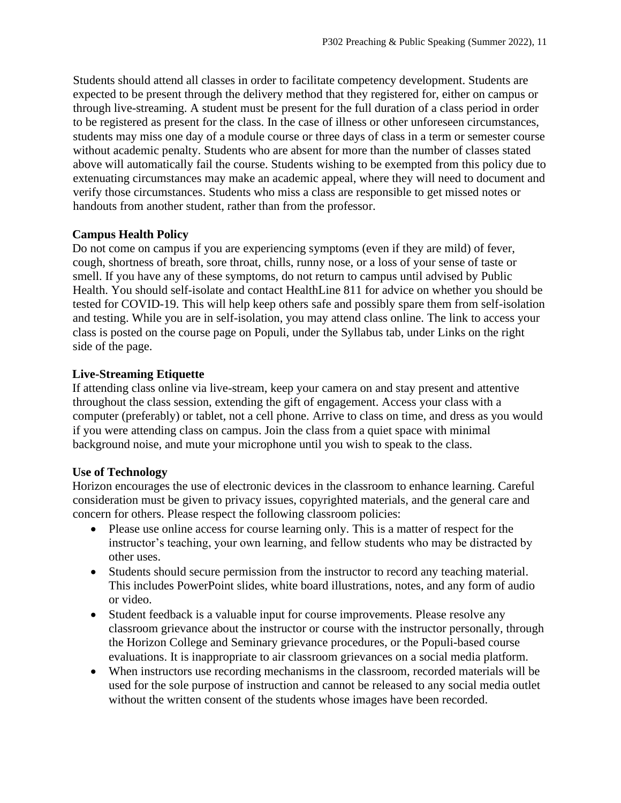Students should attend all classes in order to facilitate competency development. Students are expected to be present through the delivery method that they registered for, either on campus or through live-streaming. A student must be present for the full duration of a class period in order to be registered as present for the class. In the case of illness or other unforeseen circumstances, students may miss one day of a module course or three days of class in a term or semester course without academic penalty. Students who are absent for more than the number of classes stated above will automatically fail the course. Students wishing to be exempted from this policy due to extenuating circumstances may make an academic appeal, where they will need to document and verify those circumstances. Students who miss a class are responsible to get missed notes or handouts from another student, rather than from the professor.

## **Campus Health Policy**

Do not come on campus if you are experiencing symptoms (even if they are mild) of fever, cough, shortness of breath, sore throat, chills, runny nose, or a loss of your sense of taste or smell. If you have any of these symptoms, do not return to campus until advised by Public Health. You should self-isolate and contact HealthLine 811 for advice on whether you should be tested for COVID-19. This will help keep others safe and possibly spare them from self-isolation and testing. While you are in self-isolation, you may attend class online. The link to access your class is posted on the course page on Populi, under the Syllabus tab, under Links on the right side of the page.

# **Live-Streaming Etiquette**

If attending class online via live-stream, keep your camera on and stay present and attentive throughout the class session, extending the gift of engagement. Access your class with a computer (preferably) or tablet, not a cell phone. Arrive to class on time, and dress as you would if you were attending class on campus. Join the class from a quiet space with minimal background noise, and mute your microphone until you wish to speak to the class.

# **Use of Technology**

Horizon encourages the use of electronic devices in the classroom to enhance learning. Careful consideration must be given to privacy issues, copyrighted materials, and the general care and concern for others. Please respect the following classroom policies:

- Please use online access for course learning only. This is a matter of respect for the instructor's teaching, your own learning, and fellow students who may be distracted by other uses.
- Students should secure permission from the instructor to record any teaching material. This includes PowerPoint slides, white board illustrations, notes, and any form of audio or video.
- Student feedback is a valuable input for course improvements. Please resolve any classroom grievance about the instructor or course with the instructor personally, through the Horizon College and Seminary grievance procedures, or the Populi-based course evaluations. It is inappropriate to air classroom grievances on a social media platform.
- When instructors use recording mechanisms in the classroom, recorded materials will be used for the sole purpose of instruction and cannot be released to any social media outlet without the written consent of the students whose images have been recorded.